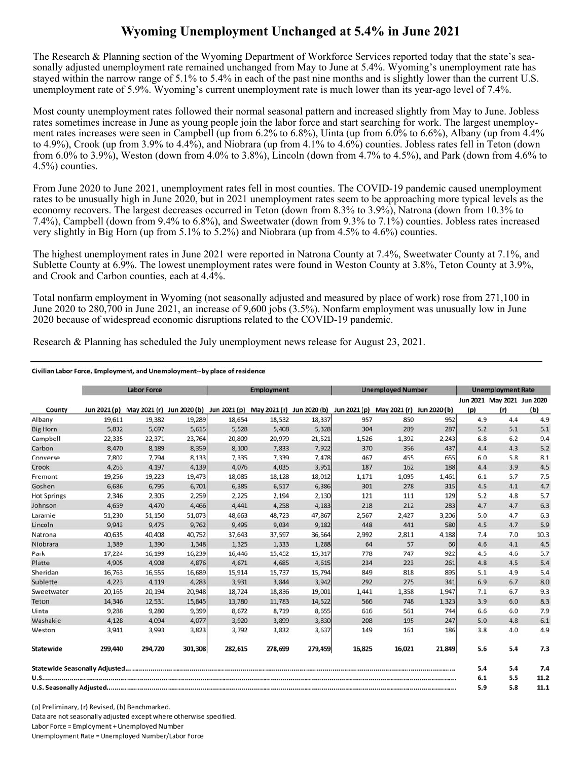## **Wyoming Unemployment Unchanged at 5.4% in June 2021**

The Research & Planning section of the Wyoming Department of Workforce Services reported today that the state's seasonally adjusted unemployment rate remained unchanged from May to June at 5.4%. Wyoming's unemployment rate has stayed within the narrow range of 5.1% to 5.4% in each of the past nine months and is slightly lower than the current U.S. unemployment rate of 5.9%. Wyoming's current unemployment rate is much lower than its year-ago level of 7.4%.

Most county unemployment rates followed their normal seasonal pattern and increased slightly from May to June. Jobless rates sometimes increase in June as young people join the labor force and start searching for work. The largest unemployment rates increases were seen in Campbell (up from 6.2% to 6.8%), Uinta (up from 6.0% to 6.6%), Albany (up from 4.4% to 4.9%), Crook (up from 3.9% to 4.4%), and Niobrara (up from 4.1% to 4.6%) counties. Jobless rates fell in Teton (down from 6.0% to 3.9%), Weston (down from 4.0% to 3.8%), Lincoln (down from 4.7% to 4.5%), and Park (down from 4.6% to 4.5%) counties.

From June 2020 to June 2021, unemployment rates fell in most counties. The COVID-19 pandemic caused unemployment rates to be unusually high in June 2020, but in 2021 unemployment rates seem to be approaching more typical levels as the economy recovers. The largest decreases occurred in Teton (down from 8.3% to 3.9%), Natrona (down from 10.3% to 7.4%), Campbell (down from 9.4% to 6.8%), and Sweetwater (down from 9.3% to 7.1%) counties. Jobless rates increased very slightly in Big Horn (up from 5.1% to 5.2%) and Niobrara (up from 4.5% to 4.6%) counties.

The highest unemployment rates in June 2021 were reported in Natrona County at 7.4%, Sweetwater County at 7.1%, and Sublette County at 6.9%. The lowest unemployment rates were found in Weston County at 3.8%, Teton County at 3.9%, and Crook and Carbon counties, each at 4.4%.

Total nonfarm employment in Wyoming (not seasonally adjusted and measured by place of work) rose from 271,100 in June 2020 to 280,700 in June 2021, an increase of 9,600 jobs (3.5%). Nonfarm employment was unusually low in June 2020 because of widespread economic disruptions related to the COVID-19 pandemic.

Research & Planning has scheduled the July unemployment news release for August 23, 2021.

## Civilian Labor Force, Employment, and Unemployment--by place of residence

|                    | <b>Labor Force</b> |                                                                  |         | <b>Employment</b> |         |         | <b>Unemployed Number</b> |                           |        | <b>Unemployment Rate</b> |                            |      |
|--------------------|--------------------|------------------------------------------------------------------|---------|-------------------|---------|---------|--------------------------|---------------------------|--------|--------------------------|----------------------------|------|
|                    |                    |                                                                  |         |                   |         |         |                          |                           |        |                          | Jun 2021 May 2021 Jun 2020 |      |
| County             | Jun 2021 (p)       | May 2021 (r) Jun 2020 (b) Jun 2021 (p) May 2021 (r) Jun 2020 (b) |         |                   |         |         | Jun 2021 (p)             | May 2021 (r) Jun 2020 (b) |        | (p)                      | (r)                        | (b)  |
| Albany             | 19,611             | 19,382                                                           | 19,289  | 18,654            | 18,532  | 18,337  | 957                      | 850                       | 952    | 4.9                      | 4.4                        | 4.9  |
| <b>Big Horn</b>    | 5,832              | 5,697                                                            | 5,615   | 5,528             | 5,408   | 5,328   | 304                      | 289                       | 287    | 5.2                      | 5.1                        | 5.1  |
| Campbell           | 22,335             | 22,371                                                           | 23,764  | 20,809            | 20,979  | 21,521  | 1,526                    | 1,392                     | 2,243  | 6.8                      | 6.2                        | 9.4  |
| Carbon             | 8,470              | 8,189                                                            | 8,359   | 8,100             | 7,833   | 7,922   | 370                      | 356                       | 437    | 4.4                      | 4.3                        | 5.2  |
| Converse           | 7,802              | 7,794                                                            | 8,133   | 7,335             | 7,339   | 7,478   | 467                      | 455                       | 655    | 6.0                      | 5.8                        | 8.1  |
| Crook              | 4,263              | 4,197                                                            | 4,139   | 4,076             | 4,035   | 3,951   | 187                      | 162                       | 188    | 4.4                      | 3.9                        | 4.5  |
| Fremont            | 19,256             | 19,223                                                           | 19,473  | 18,085            | 18,128  | 18,012  | 1,171                    | 1,095                     | 1,461  | 6.1                      | 5.7                        | 7.5  |
| Goshen             | 6,686              | 6,795                                                            | 6,701   | 6,385             | 6,517   | 6,386   | 301                      | 278                       | 315    | 4.5                      | 4.1                        | 4.7  |
| <b>Hot Springs</b> | 2,346              | 2,305                                                            | 2,259   | 2,225             | 2,194   | 2,130   | 121                      | 111                       | 129    | 5.2                      | 4.8                        | 5.7  |
| Johnson            | 4,659              | 4,470                                                            | 4,466   | 4,441             | 4,258   | 4,183   | 218                      | 212                       | 283    | 4.7                      | 4.7                        | 6.3  |
| Laramie            | 51,230             | 51,150                                                           | 51,073  | 48.663            | 48,723  | 47,867  | 2,567                    | 2,427                     | 3,206  | 5.0                      | 4.7                        | 6.3  |
| Lincoln            | 9,943              | 9,475                                                            | 9,762   | 9,495             | 9,034   | 9,182   | 448                      | 441                       | 580    | 4.5                      | 4.7                        | 5.9  |
| Natrona            | 40,635             | 40,408                                                           | 40,752  | 37,643            | 37,597  | 36,564  | 2,992                    | 2,811                     | 4,188  | 7.4                      | 7.0                        | 10.3 |
| Niobrara           | 1,389              | 1,390                                                            | 1,348   | 1,325             | 1,333   | 1,288   | 64                       | 57                        | 60     | 4.6                      | 4.1                        | 4.5  |
| Park               | 17,224             | 16,199                                                           | 16,239  | 16,446            | 15,452  | 15,317  | 778                      | 747                       | 922    | 4.5                      | 4.6                        | 5.7  |
| Platte             | 4,905              | 4,908                                                            | 4,876   | 4,671             | 4,685   | 4,615   | 234                      | 223                       | 261    | 4.8                      | 4.5                        | 5.4  |
| Sheridan           | 16.763             | 16,555                                                           | 16,689  | 15,914            | 15,737  | 15,794  | 849                      | 818                       | 895    | 5.1                      | 4.9                        | 5.4  |
| Sublette           | 4,223              | 4,119                                                            | 4,283   | 3,931             | 3,844   | 3,942   | 292                      | 275                       | 341    | 6.9                      | 6.7                        | 8.0  |
| Sweetwater         | 20,165             | 20,194                                                           | 20,948  | 18,724            | 18,836  | 19,001  | 1,441                    | 1,358                     | 1,947  | 7.1                      | 6.7                        | 9.3  |
| Teton              | 14,346             | 12,531                                                           | 15,845  | 13,780            | 11,783  | 14,522  | 566                      | 748                       | 1,323  | 3.9                      | 6.0                        | 8.3  |
| Uinta              | 9,288              | 9,280                                                            | 9,399   | 8,672             | 8,719   | 8,655   | 616                      | 561                       | 744    | 6.6                      | 6.0                        | 7.9  |
| Washakie           | 4,128              | 4,094                                                            | 4.077   | 3,920             | 3,899   | 3,830   | 208                      | 195                       | 247    | 5.0                      | 4.8                        | 6.1  |
| Weston             | 3,941              | 3,993                                                            | 3,823   | 3,792             | 3,832   | 3,637   | 149                      | 161                       | 186    | 3.8                      | 4.0                        | 4.9  |
| Statewide          | 299,440            | 294,720                                                          | 301,308 | 282,615           | 278,699 | 279,459 | 16,825                   | 16,021                    | 21,849 | 5.6                      | 5.4                        | 7.3  |
|                    |                    |                                                                  |         |                   |         |         |                          |                           |        | 5.4                      | 5.4                        | 7.4  |
|                    |                    |                                                                  |         |                   |         |         |                          |                           |        | 6.1                      | 5.5                        | 11.2 |
|                    |                    |                                                                  |         |                   |         |         |                          |                           |        | 5.9                      | 5.8                        | 11.1 |

(p) Preliminary, (r) Revised, (b) Benchmarked. Data are not seasonally adjusted except where otherwise specified. Labor Force = Employment + Unemployed Number Unemployment Rate = Unemployed Number/Labor Force